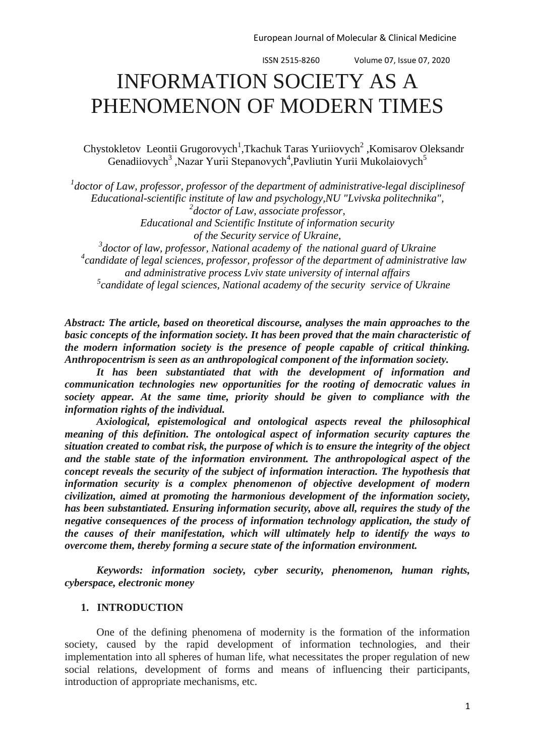# INFORMATION SOCIETY AS A PHENOMENON OF MODERN TIMES

Chystokletov Leontii Grugorovych<sup>1</sup>, Tkachuk Taras Yuriiovych<sup>2</sup>, Komisarov Oleksandr Genadiiovych<sup>3</sup>, Nazar Yurii Stepanovych<sup>4</sup>, Pavliutin Yurii Mukolaiovych<sup>5</sup>

*1 doctor of Law, professor, professor of the department of administrative-legal disciplinesof Educational-scientific institute of law and psychology,NU "Lvivska politechnika", 2 doctor of Law, associate professor, Educational and Scientific Institute of information security of the Security service of Ukraine, 3 doctor of law, professor, National academy of the national guard of Ukraine 4 candidate of legal sciences, professor, professor of the department of administrative law* 

*and administrative process Lviv state university of internal affairs 5 candidate of legal sciences, National academy of the security service of Ukraine*

*Abstract: The article, based on theoretical discourse, analyses the main approaches to the basic concepts of the information society. It has been proved that the main characteristic of the modern information society is the presence of people capable of critical thinking. Anthropocentrism is seen as an anthropological component of the information society.*

*It has been substantiated that with the development of information and communication technologies new opportunities for the rooting of democratic values in society appear. At the same time, priority should be given to compliance with the information rights of the individual.*

*Axiological, epistemological and ontological aspects reveal the philosophical meaning of this definition. The ontological aspect of information security captures the situation created to combat risk, the purpose of which is to ensure the integrity of the object and the stable state of the information environment. The anthropological aspect of the concept reveals the security of the subject of information interaction. The hypothesis that information security is a complex phenomenon of objective development of modern civilization, aimed at promoting the harmonious development of the information society, has been substantiated. Ensuring information security, above all, requires the study of the negative consequences of the process of information technology application, the study of the causes of their manifestation, which will ultimately help to identify the ways to overcome them, thereby forming a secure state of the information environment.*

*Keywords: information society, cyber security, phenomenon, human rights, cyberspace, electronic money*

# **1. INTRODUCTION**

One of the defining phenomena of modernity is the formation of the information society, caused by the rapid development of information technologies, and their implementation into all spheres of human life, what necessitates the proper regulation of new social relations, development of forms and means of influencing their participants, introduction of appropriate mechanisms, etc.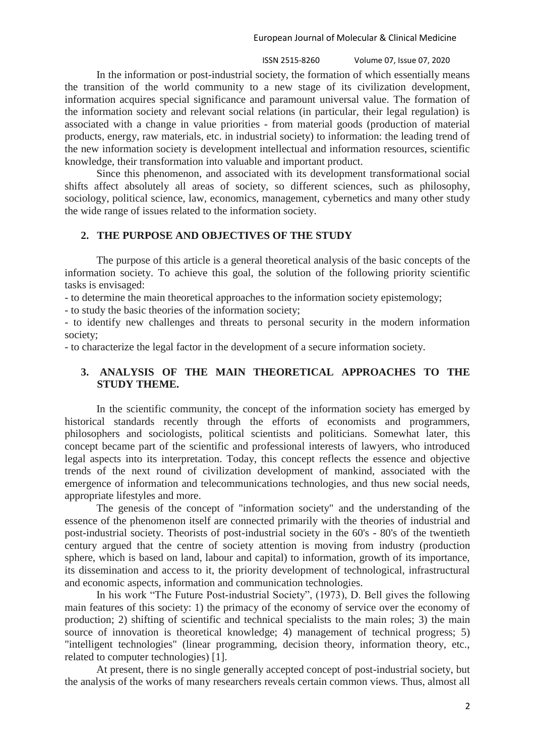ISSN 2515-8260 Volume 07, Issue 07, 2020 2

In the information or post-industrial society, the formation of which essentially means the transition of the world community to a new stage of its civilization development, information acquires special significance and paramount universal value. The formation of the information society and relevant social relations (in particular, their legal regulation) is associated with a change in value priorities - from material goods (production of material products, energy, raw materials, etc. in industrial society) to information: the leading trend of the new information society is development intellectual and information resources, scientific knowledge, their transformation into valuable and important product.

Since this phenomenon, and associated with its development transformational social shifts affect absolutely all areas of society, so different sciences, such as philosophy, sociology, political science, law, economics, management, cybernetics and many other study the wide range of issues related to the information society.

## **2. THE PURPOSE AND OBJECTIVES OF THE STUDY**

The purpose of this article is a general theoretical analysis of the basic concepts of the information society. To achieve this goal, the solution of the following priority scientific tasks is envisaged:

- to determine the main theoretical approaches to the information society epistemology;

- to study the basic theories of the information society;

- to identify new challenges and threats to personal security in the modern information society;

- to characterize the legal factor in the development of a secure information society.

# **3. ANALYSIS OF THE MAIN THEORETICAL APPROACHES TO THE STUDY THEME.**

In the scientific community, the concept of the information society has emerged by historical standards recently through the efforts of economists and programmers, philosophers and sociologists, political scientists and politicians. Somewhat later, this concept became part of the scientific and professional interests of lawyers, who introduced legal aspects into its interpretation. Today, this concept reflects the essence and objective trends of the next round of civilization development of mankind, associated with the emergence of information and telecommunications technologies, and thus new social needs, appropriate lifestyles and more.

The genesis of the concept of "information society" and the understanding of the essence of the phenomenon itself are connected primarily with the theories of industrial and post-industrial society. Theorists of post-industrial society in the 60's - 80's of the twentieth century argued that the centre of society attention is moving from industry (production sphere, which is based on land, labour and capital) to information, growth of its importance, its dissemination and access to it, the priority development of technological, infrastructural and economic aspects, information and communication technologies.

In his work "The Future Post-industrial Society", (1973), D. Bell gives the following main features of this society: 1) the primacy of the economy of service over the economy of production; 2) shifting of scientific and technical specialists to the main roles; 3) the main source of innovation is theoretical knowledge; 4) management of technical progress; 5) "intelligent technologies" (linear programming, decision theory, information theory, etc., related to computer technologies) [1].

At present, there is no single generally accepted concept of post-industrial society, but the analysis of the works of many researchers reveals certain common views. Thus, almost all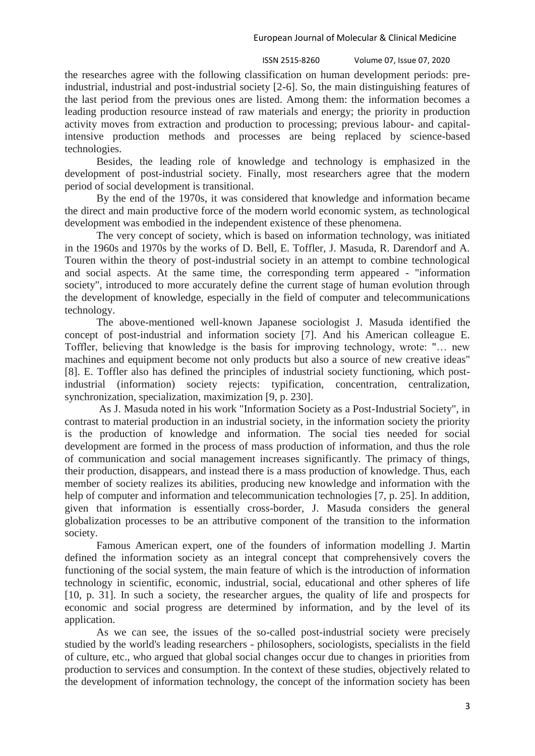the researches agree with the following classification on human development periods: preindustrial, industrial and post-industrial society [2-6]. So, the main distinguishing features of the last period from the previous ones are listed. Among them: the information becomes a leading production resource instead of raw materials and energy; the priority in production activity moves from extraction and production to processing; previous labour- and capitalintensive production methods and processes are being replaced by science-based technologies.

Besides, the leading role of knowledge and technology is emphasized in the development of post-industrial society. Finally, most researchers agree that the modern period of social development is transitional.

By the end of the 1970s, it was considered that knowledge and information became the direct and main productive force of the modern world economic system, as technological development was embodied in the independent existence of these phenomena.

The very concept of society, which is based on information technology, was initiated in the 1960s and 1970s by the works of D. Bell, E. Toffler, J. Masuda, R. Darendorf and A. Touren within the theory of post-industrial society in an attempt to combine technological and social aspects. At the same time, the corresponding term appeared - "information society", introduced to more accurately define the current stage of human evolution through the development of knowledge, especially in the field of computer and telecommunications technology.

The above-mentioned well-known Japanese sociologist J. Masuda identified the concept of post-industrial and information society [7]. And his American colleague E. Toffler, believing that knowledge is the basis for improving technology, wrote: "… new machines and equipment become not only products but also a source of new creative ideas" [8]. E. Toffler also has defined the principles of industrial society functioning, which postindustrial (information) society rejects: typification, concentration, centralization, synchronization, specialization, maximization [9, p. 230].

As J. Masuda noted in his work "Information Society as a Post-Industrial Society", in contrast to material production in an industrial society, in the information society the priority is the production of knowledge and information. The social ties needed for social development are formed in the process of mass production of information, and thus the role of communication and social management increases significantly. The primacy of things, their production, disappears, and instead there is a mass production of knowledge. Thus, each member of society realizes its abilities, producing new knowledge and information with the help of computer and information and telecommunication technologies [7, p. 25]. In addition, given that information is essentially cross-border, J. Masuda considers the general globalization processes to be an attributive component of the transition to the information society.

Famous American expert, one of the founders of information modelling J. Martin defined the information society as an integral concept that comprehensively covers the functioning of the social system, the main feature of which is the introduction of information technology in scientific, economic, industrial, social, educational and other spheres of life [10, p. 31]. In such a society, the researcher argues, the quality of life and prospects for economic and social progress are determined by information, and by the level of its application.

As we can see, the issues of the so-called post-industrial society were precisely studied by the world's leading researchers - philosophers, sociologists, specialists in the field of culture, etc., who argued that global social changes occur due to changes in priorities from production to services and consumption. In the context of these studies, objectively related to the development of information technology, the concept of the information society has been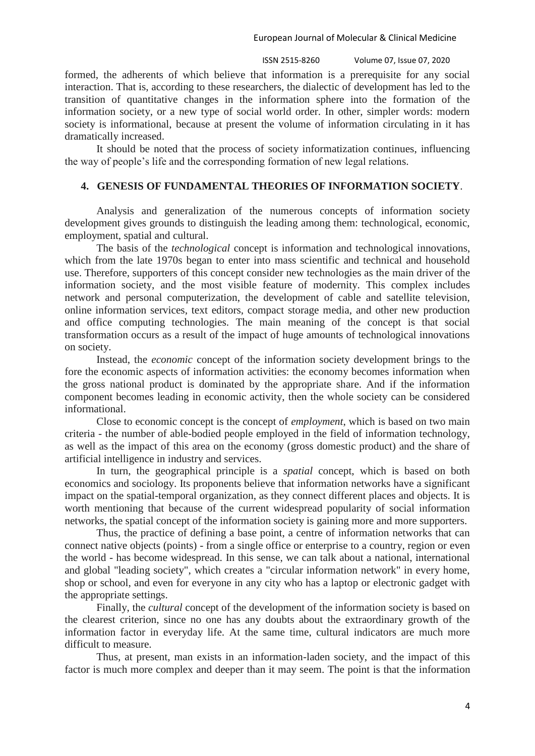ISSN 2515-8260 Volume 07, Issue 07, 2020 4

formed, the adherents of which believe that information is a prerequisite for any social interaction. That is, according to these researchers, the dialectic of development has led to the transition of quantitative changes in the information sphere into the formation of the information society, or a new type of social world order. In other, simpler words: modern society is informational, because at present the volume of information circulating in it has dramatically increased.

It should be noted that the process of society informatization continues, influencing the way of people's life and the corresponding formation of new legal relations.

# **4. GENESIS OF FUNDAMENTAL THEORIES OF INFORMATION SOCIETY**.

Analysis and generalization of the numerous concepts of information society development gives grounds to distinguish the leading among them: technological, economic, employment, spatial and cultural.

The basis of the *technological* concept is information and technological innovations, which from the late 1970s began to enter into mass scientific and technical and household use. Therefore, supporters of this concept consider new technologies as the main driver of the information society, and the most visible feature of modernity. This complex includes network and personal computerization, the development of cable and satellite television, online information services, text editors, compact storage media, and other new production and office computing technologies. The main meaning of the concept is that social transformation occurs as a result of the impact of huge amounts of technological innovations on society.

Instead, the *economic* concept of the information society development brings to the fore the economic aspects of information activities: the economy becomes information when the gross national product is dominated by the appropriate share. And if the information component becomes leading in economic activity, then the whole society can be considered informational.

Close to economic concept is the concept of *employment*, which is based on two main criteria - the number of able-bodied people employed in the field of information technology, as well as the impact of this area on the economy (gross domestic product) and the share of artificial intelligence in industry and services.

In turn, the geographical principle is a *spatial* concept, which is based on both economics and sociology. Its proponents believe that information networks have a significant impact on the spatial-temporal organization, as they connect different places and objects. It is worth mentioning that because of the current widespread popularity of social information networks, the spatial concept of the information society is gaining more and more supporters.

Thus, the practice of defining a base point, a centre of information networks that can connect native objects (points) - from a single office or enterprise to a country, region or even the world - has become widespread. In this sense, we can talk about a national, international and global "leading society", which creates a "circular information network" in every home, shop or school, and even for everyone in any city who has a laptop or electronic gadget with the appropriate settings.

Finally, the *cultural* concept of the development of the information society is based on the clearest criterion, since no one has any doubts about the extraordinary growth of the information factor in everyday life. At the same time, cultural indicators are much more difficult to measure.

Thus, at present, man exists in an information-laden society, and the impact of this factor is much more complex and deeper than it may seem. The point is that the information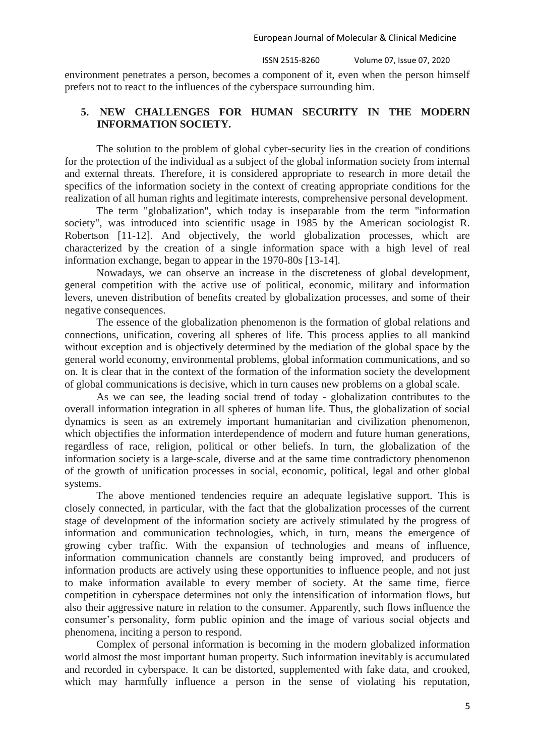environment penetrates a person, becomes a component of it, even when the person himself prefers not to react to the influences of the cyberspace surrounding him.

# **5. NEW CHALLENGES FOR HUMAN SECURITY IN THE MODERN INFORMATION SOCIETY.**

The solution to the problem of global cyber-security lies in the creation of conditions for the protection of the individual as a subject of the global information society from internal and external threats. Therefore, it is considered appropriate to research in more detail the specifics of the information society in the context of creating appropriate conditions for the realization of all human rights and legitimate interests, comprehensive personal development.

The term "globalization", which today is inseparable from the term "information society", was introduced into scientific usage in 1985 by the American sociologist R. Robertson [11-12]. And objectively, the world globalization processes, which are characterized by the creation of a single information space with a high level of real information exchange, began to appear in the 1970-80s [13-14].

Nowadays, we can observe an increase in the discreteness of global development, general competition with the active use of political, economic, military and information levers, uneven distribution of benefits created by globalization processes, and some of their negative consequences.

The essence of the globalization phenomenon is the formation of global relations and connections, unification, covering all spheres of life. This process applies to all mankind without exception and is objectively determined by the mediation of the global space by the general world economy, environmental problems, global information communications, and so on. It is clear that in the context of the formation of the information society the development of global communications is decisive, which in turn causes new problems on a global scale.

As we can see, the leading social trend of today - globalization contributes to the overall information integration in all spheres of human life. Thus, the globalization of social dynamics is seen as an extremely important humanitarian and civilization phenomenon, which objectifies the information interdependence of modern and future human generations, regardless of race, religion, political or other beliefs. In turn, the globalization of the information society is a large-scale, diverse and at the same time contradictory phenomenon of the growth of unification processes in social, economic, political, legal and other global systems.

The above mentioned tendencies require an adequate legislative support. This is closely connected, in particular, with the fact that the globalization processes of the current stage of development of the information society are actively stimulated by the progress of information and communication technologies, which, in turn, means the emergence of growing cyber traffic. With the expansion of technologies and means of influence, information communication channels are constantly being improved, and producers of information products are actively using these opportunities to influence people, and not just to make information available to every member of society. At the same time, fierce competition in cyberspace determines not only the intensification of information flows, but also their aggressive nature in relation to the consumer. Apparently, such flows influence the consumer's personality, form public opinion and the image of various social objects and phenomena, inciting a person to respond.

Complex of personal information is becoming in the modern globalized information world almost the most important human property. Such information inevitably is accumulated and recorded in cyberspace. It can be distorted, supplemented with fake data, and crooked, which may harmfully influence a person in the sense of violating his reputation,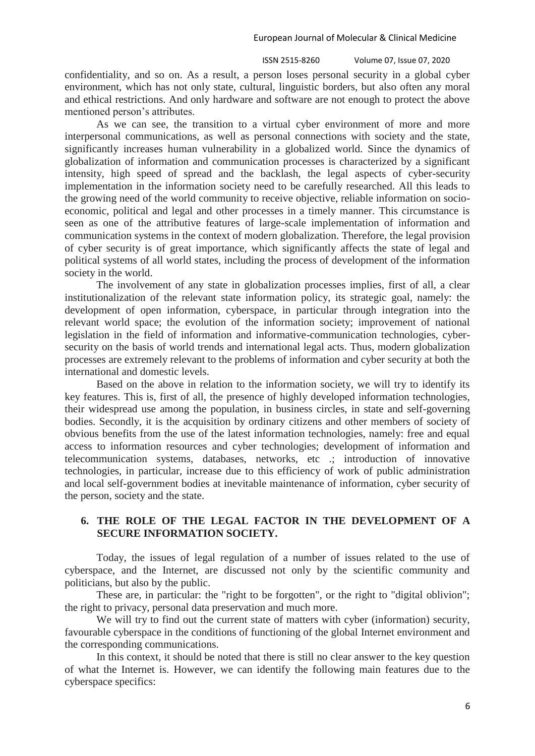ISSN 2515-8260 Volume 07, Issue 07, 2020 6

confidentiality, and so on. As a result, a person loses personal security in a global cyber environment, which has not only state, cultural, linguistic borders, but also often any moral and ethical restrictions. And only hardware and software are not enough to protect the above mentioned person's attributes.

As we can see, the transition to a virtual cyber environment of more and more interpersonal communications, as well as personal connections with society and the state, significantly increases human vulnerability in a globalized world. Since the dynamics of globalization of information and communication processes is characterized by a significant intensity, high speed of spread and the backlash, the legal aspects of cyber-security implementation in the information society need to be carefully researched. All this leads to the growing need of the world community to receive objective, reliable information on socioeconomic, political and legal and other processes in a timely manner. This circumstance is seen as one of the attributive features of large-scale implementation of information and communication systems in the context of modern globalization. Therefore, the legal provision of cyber security is of great importance, which significantly affects the state of legal and political systems of all world states, including the process of development of the information society in the world.

The involvement of any state in globalization processes implies, first of all, a clear institutionalization of the relevant state information policy, its strategic goal, namely: the development of open information, cyberspace, in particular through integration into the relevant world space; the evolution of the information society; improvement of national legislation in the field of information and informative-communication technologies, cybersecurity on the basis of world trends and international legal acts. Thus, modern globalization processes are extremely relevant to the problems of information and cyber security at both the international and domestic levels.

Based on the above in relation to the information society, we will try to identify its key features. This is, first of all, the presence of highly developed information technologies, their widespread use among the population, in business circles, in state and self-governing bodies. Secondly, it is the acquisition by ordinary citizens and other members of society of obvious benefits from the use of the latest information technologies, namely: free and equal access to information resources and cyber technologies; development of information and telecommunication systems, databases, networks, etc .; introduction of innovative technologies, in particular, increase due to this efficiency of work of public administration and local self-government bodies at inevitable maintenance of information, cyber security of the person, society and the state.

# **6. THE ROLE OF THE LEGAL FACTOR IN THE DEVELOPMENT OF A SECURE INFORMATION SOCIETY.**

Today, the issues of legal regulation of a number of issues related to the use of cyberspace, and the Internet, are discussed not only by the scientific community and politicians, but also by the public.

These are, in particular: the "right to be forgotten", or the right to "digital oblivion"; the right to privacy, personal data preservation and much more.

We will try to find out the current state of matters with cyber (information) security, favourable cyberspace in the conditions of functioning of the global Internet environment and the corresponding communications.

In this context, it should be noted that there is still no clear answer to the key question of what the Internet is. However, we can identify the following main features due to the cyberspace specifics: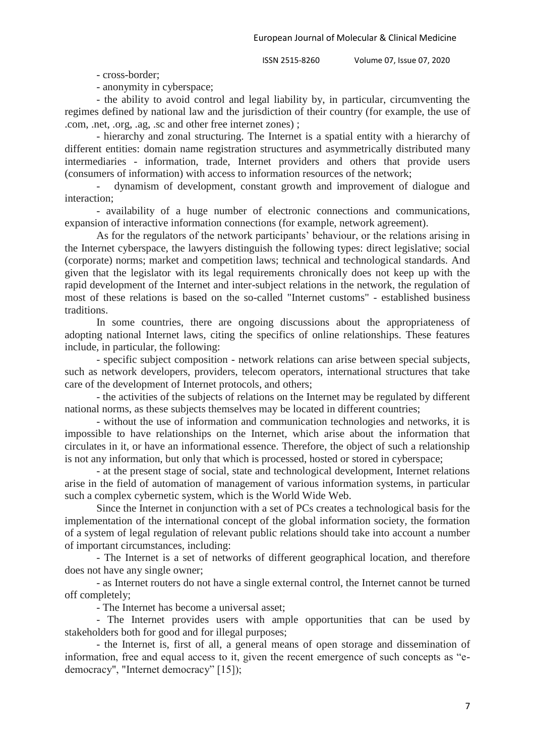- cross-border;

- anonymity in cyberspace;

- the ability to avoid control and legal liability by, in particular, circumventing the regimes defined by national law and the jurisdiction of their country (for example, the use of .com, .net, .org, .ag, .sc and other free internet zones) ;

- hierarchy and zonal structuring. The Internet is a spatial entity with a hierarchy of different entities: domain name registration structures and asymmetrically distributed many intermediaries - information, trade, Internet providers and others that provide users (consumers of information) with access to information resources of the network;

- dynamism of development, constant growth and improvement of dialogue and interaction;

- availability of a huge number of electronic connections and communications, expansion of interactive information connections (for example, network agreement).

As for the regulators of the network participants' behaviour, or the relations arising in the Internet cyberspace, the lawyers distinguish the following types: direct legislative; social (corporate) norms; market and competition laws; technical and technological standards. And given that the legislator with its legal requirements chronically does not keep up with the rapid development of the Internet and inter-subject relations in the network, the regulation of most of these relations is based on the so-called "Internet customs" - established business traditions.

In some countries, there are ongoing discussions about the appropriateness of adopting national Internet laws, citing the specifics of online relationships. These features include, in particular, the following:

- specific subject composition - network relations can arise between special subjects, such as network developers, providers, telecom operators, international structures that take care of the development of Internet protocols, and others;

- the activities of the subjects of relations on the Internet may be regulated by different national norms, as these subjects themselves may be located in different countries;

- without the use of information and communication technologies and networks, it is impossible to have relationships on the Internet, which arise about the information that circulates in it, or have an informational essence. Therefore, the object of such a relationship is not any information, but only that which is processed, hosted or stored in cyberspace;

- at the present stage of social, state and technological development, Internet relations arise in the field of automation of management of various information systems, in particular such a complex cybernetic system, which is the World Wide Web.

Since the Internet in conjunction with a set of PCs creates a technological basis for the implementation of the international concept of the global information society, the formation of a system of legal regulation of relevant public relations should take into account a number of important circumstances, including:

- The Internet is a set of networks of different geographical location, and therefore does not have any single owner;

- as Internet routers do not have a single external control, the Internet cannot be turned off completely;

- The Internet has become a universal asset;

- The Internet provides users with ample opportunities that can be used by stakeholders both for good and for illegal purposes;

- the Internet is, first of all, a general means of open storage and dissemination of information, free and equal access to it, given the recent emergence of such concepts as "edemocracy", "Internet democracy" [15]);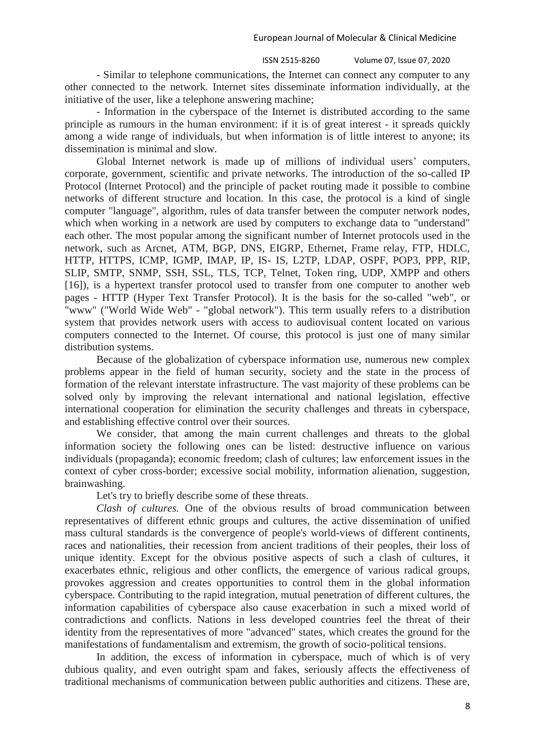- Similar to telephone communications, the Internet can connect any computer to any other connected to the network. Internet sites disseminate information individually, at the initiative of the user, like a telephone answering machine;

- Information in the cyberspace of the Internet is distributed according to the same principle as rumours in the human environment: if it is of great interest - it spreads quickly among a wide range of individuals, but when information is of little interest to anyone; its dissemination is minimal and slow.

Global Internet network is made up of millions of individual users' computers, corporate, government, scientific and private networks. The introduction of the so-called IP Protocol (Internet Protocol) and the principle of packet routing made it possible to combine networks of different structure and location. In this case, the protocol is a kind of single computer "language", algorithm, rules of data transfer between the computer network nodes, which when working in a network are used by computers to exchange data to "understand" each other. The most popular among the significant number of Internet protocols used in the network, such as Arcnet, ATM, BGP, DNS, EIGRP, Ethernet, Frame relay, FTP, HDLC, HTTP, HTTPS, ICMP, IGMP, IMAP, IP, IS- IS, L2TP, LDAP, OSPF, POP3, PPP, RIP, SLIP, SMTP, SNMP, SSH, SSL, TLS, TCP, Telnet, Token ring, UDP, XMPP and others [16]), is a hypertext transfer protocol used to transfer from one computer to another web pages - HTTP (Hyper Text Transfer Protocol). It is the basis for the so-called "web", or "www" ("World Wide Web" - "global network"). This term usually refers to a distribution system that provides network users with access to audiovisual content located on various computers connected to the Internet. Of course, this protocol is just one of many similar distribution systems.

Because of the globalization of cyberspace information use, numerous new complex problems appear in the field of human security, society and the state in the process of formation of the relevant interstate infrastructure. The vast majority of these problems can be solved only by improving the relevant international and national legislation, effective international cooperation for elimination the security challenges and threats in cyberspace, and establishing effective control over their sources.

We consider, that among the main current challenges and threats to the global information society the following ones can be listed: destructive influence on various individuals (propaganda); economic freedom; clash of cultures; law enforcement issues in the context of cyber cross-border; excessive social mobility, information alienation, suggestion, brainwashing.

Let's try to briefly describe some of these threats.

*Clash of cultures.* One of the obvious results of broad communication between representatives of different ethnic groups and cultures, the active dissemination of unified mass cultural standards is the convergence of people's world-views of different continents, races and nationalities, their recession from ancient traditions of their peoples, their loss of unique identity. Except for the obvious positive aspects of such a clash of cultures, it exacerbates ethnic, religious and other conflicts, the emergence of various radical groups, provokes aggression and creates opportunities to control them in the global information cyberspace. Contributing to the rapid integration, mutual penetration of different cultures, the information capabilities of cyberspace also cause exacerbation in such a mixed world of contradictions and conflicts. Nations in less developed countries feel the threat of their identity from the representatives of more "advanced" states, which creates the ground for the manifestations of fundamentalism and extremism, the growth of socio-political tensions.

In addition, the excess of information in cyberspace, much of which is of very dubious quality, and even outright spam and fakes, seriously affects the effectiveness of traditional mechanisms of communication between public authorities and citizens. These are,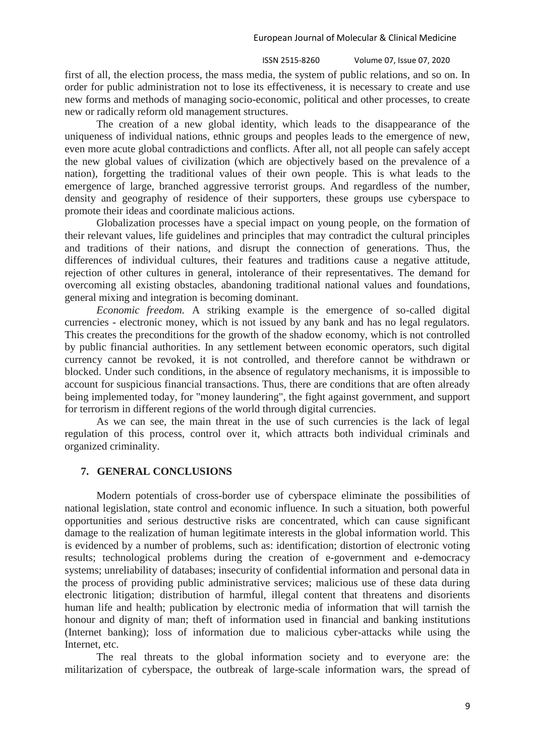#### ISSN 2515-8260 Volume 07, Issue 07, 2020 9

first of all, the election process, the mass media, the system of public relations, and so on. In order for public administration not to lose its effectiveness, it is necessary to create and use new forms and methods of managing socio-economic, political and other processes, to create new or radically reform old management structures.

The creation of a new global identity, which leads to the disappearance of the uniqueness of individual nations, ethnic groups and peoples leads to the emergence of new, even more acute global contradictions and conflicts. After all, not all people can safely accept the new global values of civilization (which are objectively based on the prevalence of a nation), forgetting the traditional values of their own people. This is what leads to the emergence of large, branched aggressive terrorist groups. And regardless of the number, density and geography of residence of their supporters, these groups use cyberspace to promote their ideas and coordinate malicious actions.

Globalization processes have a special impact on young people, on the formation of their relevant values, life guidelines and principles that may contradict the cultural principles and traditions of their nations, and disrupt the connection of generations. Thus, the differences of individual cultures, their features and traditions cause a negative attitude, rejection of other cultures in general, intolerance of their representatives. The demand for overcoming all existing obstacles, abandoning traditional national values and foundations, general mixing and integration is becoming dominant.

*Economic freedom.* A striking example is the emergence of so-called digital currencies - electronic money, which is not issued by any bank and has no legal regulators. This creates the preconditions for the growth of the shadow economy, which is not controlled by public financial authorities. In any settlement between economic operators, such digital currency cannot be revoked, it is not controlled, and therefore cannot be withdrawn or blocked. Under such conditions, in the absence of regulatory mechanisms, it is impossible to account for suspicious financial transactions. Thus, there are conditions that are often already being implemented today, for "money laundering", the fight against government, and support for terrorism in different regions of the world through digital currencies.

As we can see, the main threat in the use of such currencies is the lack of legal regulation of this process, control over it, which attracts both individual criminals and organized criminality.

## **7. GENERAL CONCLUSIONS**

Modern potentials of cross-border use of cyberspace eliminate the possibilities of national legislation, state control and economic influence. In such a situation, both powerful opportunities and serious destructive risks are concentrated, which can cause significant damage to the realization of human legitimate interests in the global information world. This is evidenced by a number of problems, such as: identification; distortion of electronic voting results; technological problems during the creation of e-government and e-democracy systems; unreliability of databases; insecurity of confidential information and personal data in the process of providing public administrative services; malicious use of these data during electronic litigation; distribution of harmful, illegal content that threatens and disorients human life and health; publication by electronic media of information that will tarnish the honour and dignity of man; theft of information used in financial and banking institutions (Internet banking); loss of information due to malicious cyber-attacks while using the Internet, etc.

The real threats to the global information society and to everyone are: the militarization of cyberspace, the outbreak of large-scale information wars, the spread of